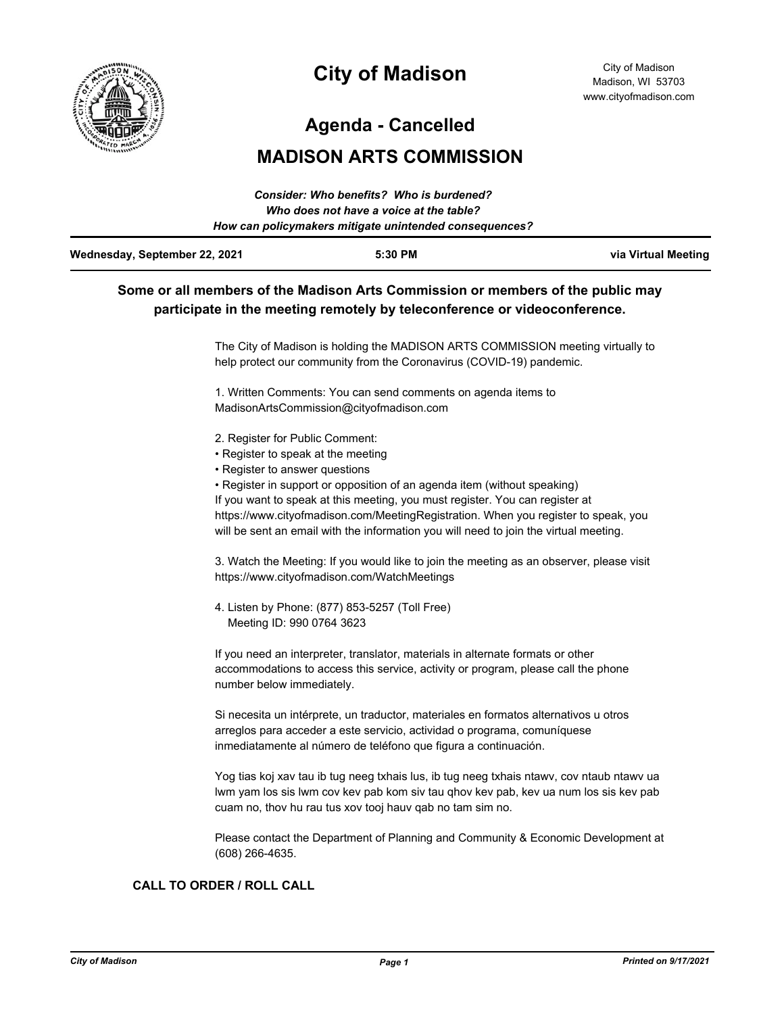

# **City of Madison**

**Agenda - Cancelled**

## **MADISON ARTS COMMISSION**

|                                         | Consider: Who benefits? Who is burdened?               |                     |
|-----------------------------------------|--------------------------------------------------------|---------------------|
| Who does not have a voice at the table? |                                                        |                     |
|                                         | How can policymakers mitigate unintended consequences? |                     |
| Wednesday, September 22, 2021           | 5:30 PM                                                | via Virtual Meeting |

### **Some or all members of the Madison Arts Commission or members of the public may participate in the meeting remotely by teleconference or videoconference.**

The City of Madison is holding the MADISON ARTS COMMISSION meeting virtually to help protect our community from the Coronavirus (COVID-19) pandemic.

1. Written Comments: You can send comments on agenda items to MadisonArtsCommission@cityofmadison.com

- 2. Register for Public Comment:
- Register to speak at the meeting
- Register to answer questions
- Register in support or opposition of an agenda item (without speaking)

If you want to speak at this meeting, you must register. You can register at https://www.cityofmadison.com/MeetingRegistration. When you register to speak, you will be sent an email with the information you will need to join the virtual meeting.

3. Watch the Meeting: If you would like to join the meeting as an observer, please visit https://www.cityofmadison.com/WatchMeetings

4. Listen by Phone: (877) 853-5257 (Toll Free) Meeting ID: 990 0764 3623

If you need an interpreter, translator, materials in alternate formats or other accommodations to access this service, activity or program, please call the phone number below immediately.

Si necesita un intérprete, un traductor, materiales en formatos alternativos u otros arreglos para acceder a este servicio, actividad o programa, comuníquese inmediatamente al número de teléfono que figura a continuación.

Yog tias koj xav tau ib tug neeg txhais lus, ib tug neeg txhais ntawv, cov ntaub ntawv ua lwm yam los sis lwm cov kev pab kom siv tau qhov kev pab, kev ua num los sis kev pab cuam no, thov hu rau tus xov tooj hauv qab no tam sim no.

Please contact the Department of Planning and Community & Economic Development at (608) 266-4635.

#### **CALL TO ORDER / ROLL CALL**